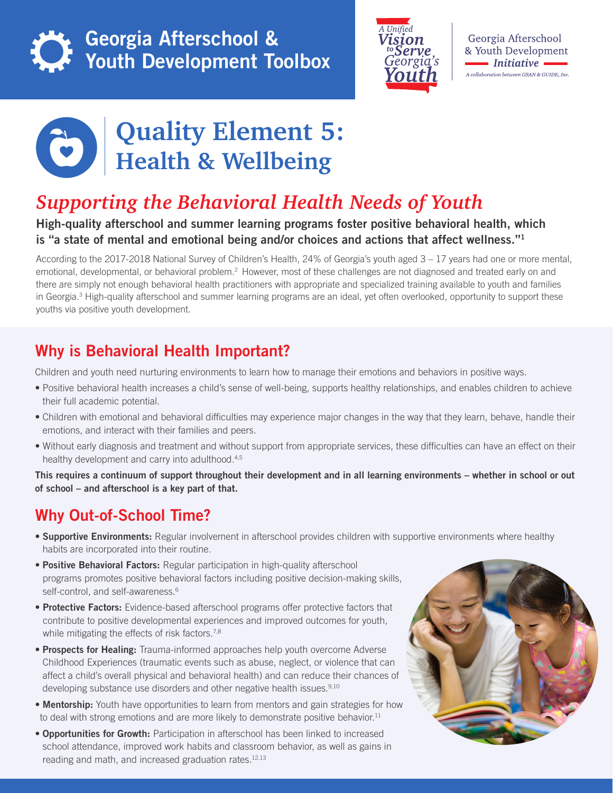

# Georgia Afterschool & Youth Development Toolbox



Georgia Afterschool & Youth Development  $\blacksquare$  Initiative A collaboration between GSAN & GUIDE, Inc.



# **Quality Element 5: Health & Wellbeing**

# *Supporting the Behavioral Health Needs of Youth*

#### High-quality afterschool and summer learning programs foster positive behavioral health, which is "a state of mental and emotional being and/or choices and actions that affect wellness."<sup>1</sup>

According to the 2017-2018 National Survey of Children's Health, 24% of Georgia's youth aged 3 – 17 years had one or more mental, emotional, developmental, or behavioral problem.<sup>2</sup> However, most of these challenges are not diagnosed and treated early on and there are simply not enough behavioral health practitioners with appropriate and specialized training available to youth and families in Georgia.<sup>3</sup> High-quality afterschool and summer learning programs are an ideal, yet often overlooked, opportunity to support these youths via positive youth development.

## Why is Behavioral Health Important?

Children and youth need nurturing environments to learn how to manage their emotions and behaviors in positive ways.

- Positive behavioral health increases a child's sense of well-being, supports healthy relationships, and enables children to achieve their full academic potential.
- Children with emotional and behavioral difficulties may experience major changes in the way that they learn, behave, handle their emotions, and interact with their families and peers.
- Without early diagnosis and treatment and without support from appropriate services, these difficulties can have an effect on their healthy development and carry into adulthood.<sup>4,5</sup>

This requires a continuum of support throughout their development and in all learning environments – whether in school or out of school – and afterschool is a key part of that.

### Why Out-of-School Time?

- Supportive Environments: Regular involvement in afterschool provides children with supportive environments where healthy habits are incorporated into their routine.
- Positive Behavioral Factors: Regular participation in high-quality afterschool programs promotes positive behavioral factors including positive decision-making skills, self-control, and self-awareness.<sup>6</sup>
- Protective Factors: Evidence-based afterschool programs offer protective factors that contribute to positive developmental experiences and improved outcomes for youth, while mitigating the effects of risk factors.<sup>7,8</sup>
- Prospects for Healing: Trauma-informed approaches help youth overcome Adverse Childhood Experiences (traumatic events such as abuse, neglect, or violence that can affect a child's overall physical and behavioral health) and can reduce their chances of developing substance use disorders and other negative health issues.<sup>9,10</sup>
- Mentorship: Youth have opportunities to learn from mentors and gain strategies for how to deal with strong emotions and are more likely to demonstrate positive behavior.<sup>11</sup>
- Opportunities for Growth: Participation in afterschool has been linked to increased school attendance, improved work habits and classroom behavior, as well as gains in reading and math, and increased graduation rates.<sup>12,13</sup>

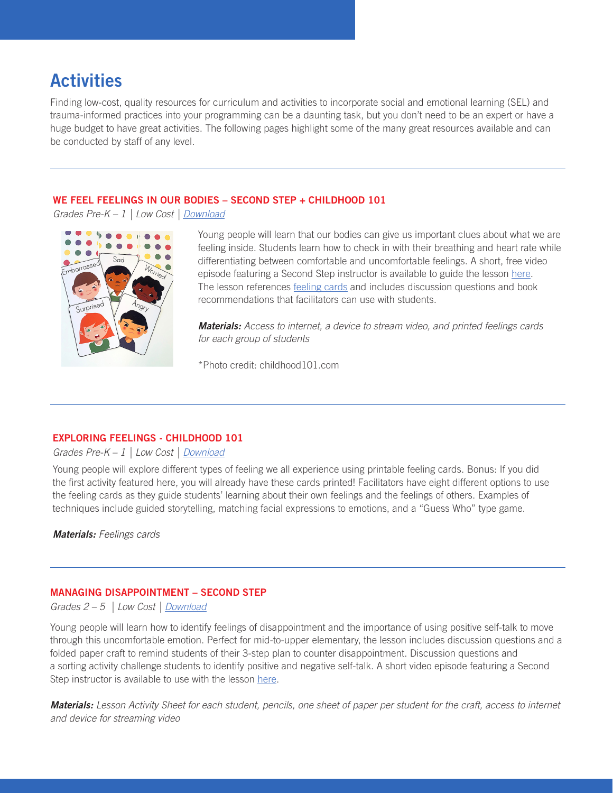# **Activities**

Finding low-cost, quality resources for curriculum and activities to incorporate social and emotional learning (SEL) and trauma-informed practices into your programming can be a daunting task, but you don't need to be an expert or have a huge budget to have great activities. The following pages highlight some of the many great resources available and can be conducted by staff of any level.

#### WE FEEL FEELINGS IN OUR BODIES – SECOND STEP + CHILDHOOD 101

*Grades Pre-K – 1 | Low Cost [| Download](https://cfccdn.blob.core.windows.net/static/pdf/lessons/early-learning/early-learning-lesson-13-educators-support.pdf)*



Young people will learn that our bodies can give us important clues about what we are feeling inside. Students learn how to check in with their breathing and heart rate while differentiating between comfortable and uncomfortable feelings. A short, free video episode featuring a Second Step instructor is available to guide the lesson here. The lesson references **feeling cards** and includes discussion questions and book recommendations that facilitators can use with students.

*Materials: Access to internet, a device to stream video, and printed feelings cards for each group of students*

\*Photo credit: childhood101.com

#### EXPLORING FEELINGS - CHILDHOOD 101

*Grades Pre-K – 1 | Low Cost | [Download](https://childhood101.com/helping-children-manage-big-emotions-printable-emotions-cards/)*

Young people will explore different types of feeling we all experience using printable feeling cards. Bonus: If you did the first activity featured here, you will already have these cards printed! Facilitators have eight different options to use the feeling cards as they guide students' learning about their own feelings and the feelings of others. Examples of techniques include guided storytelling, matching facial expressions to emotions, and a "Guess Who" type game.

*Materials: Feelings cards*

#### MANAGING DISAPPOINTMENT – SECOND STEP

*Grades 2 – 5 | Low Cost | [Download](https://cfccdn.blob.core.windows.net/static/pdf/lessons/grade-3/grade-3-lesson-14-educators-support.pdf)*

Young people will learn how to identify feelings of disappointment and the importance of using positive self-talk to move through this uncomfortable emotion. Perfect for mid-to-upper elementary, the lesson includes discussion questions and a folded paper craft to remind students of their 3-step plan to counter disappointment. Discussion questions and a sorting activity challenge students to identify positive and negative self-talk. A short video episode featuring a Second Step instructor is available to use with the lesso[n here.](https://link.videoplatform.limelight.com/media/?mediaId=bab2deee498f4a0a91ef5ee66e4b0f57&width=1024&height=576&playerForm=Player&embedMode=html&htmlPlayerFilename=limelightjs-player.js&utm_campaign=SS+Recorded+Video+Lessons&utm_medium=bitly&utm_source=K-5+Recorded+Video+Lessons) 

*Materials: Lesson Activity Sheet for each student, pencils, one sheet of paper per student for the craft, access to internet and device for streaming video*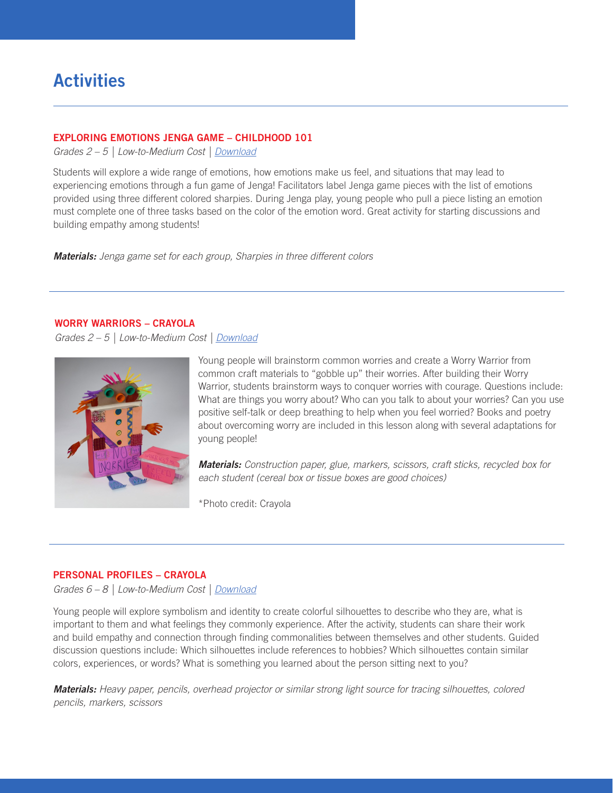## **Activities**

#### EXPLORING EMOTIONS JENGA GAME – CHILDHOOD 101

*Grades 2 – 5 | Low-to-Medium Cost | [Download](https://childhood101.com/exploring-emotions-jenga-game/)*

Students will explore a wide range of emotions, how emotions make us feel, and situations that may lead to experiencing emotions through a fun game of Jenga! Facilitators label Jenga game pieces with the list of emotions provided using three different colored sharpies. During Jenga play, young people who pull a piece listing an emotion must complete one of three tasks based on the color of the emotion word. Great activity for starting discussions and building empathy among students!

*Materials: Jenga game set for each group, Sharpies in three different colors*

#### WORRY WARRIORS – CRAYOLA

*Grades 2 – 5 | Low-to-Medium Cost | [Download](https://www.crayola.com/for-educators/lesson-plans/lesson-plan/worry-warriors--courage-connections.aspx)*



Young people will brainstorm common worries and create a Worry Warrior from common craft materials to "gobble up" their worries. After building their Worry Warrior, students brainstorm ways to conquer worries with courage. Questions include: What are things you worry about? Who can you talk to about your worries? Can you use positive self-talk or deep breathing to help when you feel worried? Books and poetry about overcoming worry are included in this lesson along with several adaptations for young people!

*Materials: Construction paper, glue, markers, scissors, craft sticks, recycled box for each student (cereal box or tissue boxes are good choices)*

\*Photo credit: Crayola

#### PERSONAL PROFILES – CRAYOLA

*Grades 6 – 8 | Low-to-Medium Cost | [Download](https://www.crayola.com/lesson-plans/personal-profiles-lesson-plan/)*

Young people will explore symbolism and identity to create colorful silhouettes to describe who they are, what is important to them and what feelings they commonly experience. After the activity, students can share their work and build empathy and connection through finding commonalities between themselves and other students. Guided discussion questions include: Which silhouettes include references to hobbies? Which silhouettes contain similar colors, experiences, or words? What is something you learned about the person sitting next to you?

*Materials: Heavy paper, pencils, overhead projector or similar strong light source for tracing silhouettes, colored pencils, markers, scissors*